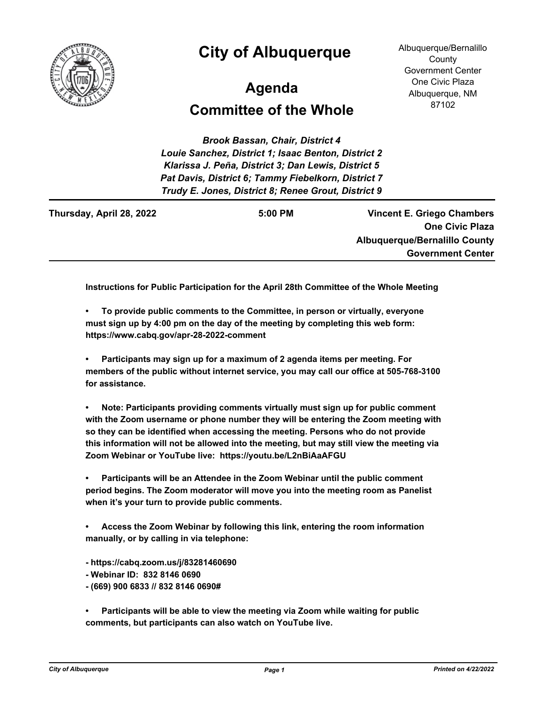

## **City of Albuquerque**

## Albuquerque/Bernalillo **County** Government Center One Civic Plaza Albuquerque, NM 87102

## **Agenda**

## **Committee of the Whole**

*Brook Bassan, Chair, District 4 Louie Sanchez, District 1; Isaac Benton, District 2 Klarissa J. Peña, District 3; Dan Lewis, District 5 Pat Davis, District 6; Tammy Fiebelkorn, District 7 Trudy E. Jones, District 8; Renee Grout, District 9*

| Thursday, April 28, 2022 | 5:00 PM | <b>Vincent E. Griego Chambers</b>    |
|--------------------------|---------|--------------------------------------|
|                          |         | <b>One Civic Plaza</b>               |
|                          |         | <b>Albuquerque/Bernalillo County</b> |
|                          |         | <b>Government Center</b>             |
|                          |         |                                      |

**Instructions for Public Participation for the April 28th Committee of the Whole Meeting**

**• To provide public comments to the Committee, in person or virtually, everyone must sign up by 4:00 pm on the day of the meeting by completing this web form: https://www.cabq.gov/apr-28-2022-comment**

**• Participants may sign up for a maximum of 2 agenda items per meeting. For members of the public without internet service, you may call our office at 505-768-3100 for assistance.**

**• Note: Participants providing comments virtually must sign up for public comment with the Zoom username or phone number they will be entering the Zoom meeting with so they can be identified when accessing the meeting. Persons who do not provide this information will not be allowed into the meeting, but may still view the meeting via Zoom Webinar or YouTube live: https://youtu.be/L2nBiAaAFGU**

**• Participants will be an Attendee in the Zoom Webinar until the public comment period begins. The Zoom moderator will move you into the meeting room as Panelist when it's your turn to provide public comments.**

**• Access the Zoom Webinar by following this link, entering the room information manually, or by calling in via telephone:**

- **https://cabq.zoom.us/j/83281460690**
- **Webinar ID: 832 8146 0690**
- **(669) 900 6833 // 832 8146 0690#**

**• Participants will be able to view the meeting via Zoom while waiting for public comments, but participants can also watch on YouTube live.**